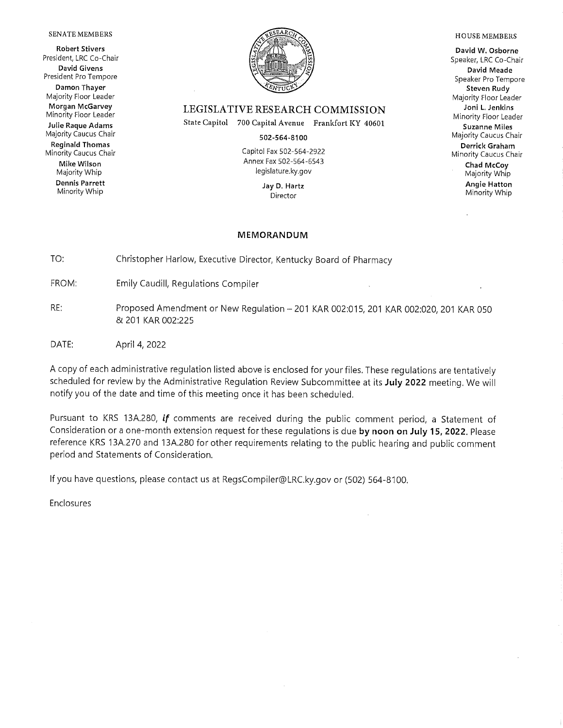#### SENATE MEMBERS

**Robert Stivers** President, LRC Co-Chair **David Givens** President Pro Tempore Damon Thayer Majority Floor Leader Morgan McGarvey Minority Floor Leader Julie Raque Adams Majority Caucus Chair **Reginald Thomas** 

Minority Caucus Chair Mike Wilson Majority Whip **Dennis Parrett** Minority Whip



### LEGISLATIVE RESEARCH COMMISSION

State Capitol 700 Capital Avenue Frankfort KY 40601

502-564-8100

Capitol Fax 502-564-2922 Annex Fax 502-564-6543 legislature.ky.gov

> Jay D. Hartz Director

#### **MEMORANDUM**

TO: Christopher Harlow, Executive Director, Kentucky Board of Pharmacy

FROM: Emily Caudill, Regulations Compiler

- RE: Proposed Amendment or New Regulation - 201 KAR 002:015, 201 KAR 002:020, 201 KAR 050 & 201 KAR 002:225
- DATE: April 4, 2022

A copy of each administrative regulation listed above is enclosed for your files. These regulations are tentatively scheduled for review by the Administrative Regulation Review Subcommittee at its July 2022 meeting. We will notify you of the date and time of this meeting once it has been scheduled.

Pursuant to KRS 13A.280, if comments are received during the public comment period, a Statement of Consideration or a one-month extension request for these requlations is due by noon on July 15, 2022. Please reference KRS 13A.270 and 13A.280 for other requirements relating to the public hearing and public comment period and Statements of Consideration.

If you have questions, please contact us at RegsCompiler@LRC.ky.gov or (502) 564-8100.

Enclosures

#### **HOUSE MEMBERS**

David W. Osborne Speaker, LRC Co-Chair David Meade Speaker Pro Tempore Steven Rudy Majority Floor Leader Joni L. Jenkins Minority Floor Leader **Suzanne Miles** Majority Caucus Chair Derrick Graham Minority Caucus Chair Chad McCoy Majority Whip **Angie Hatton** 

Minority Whip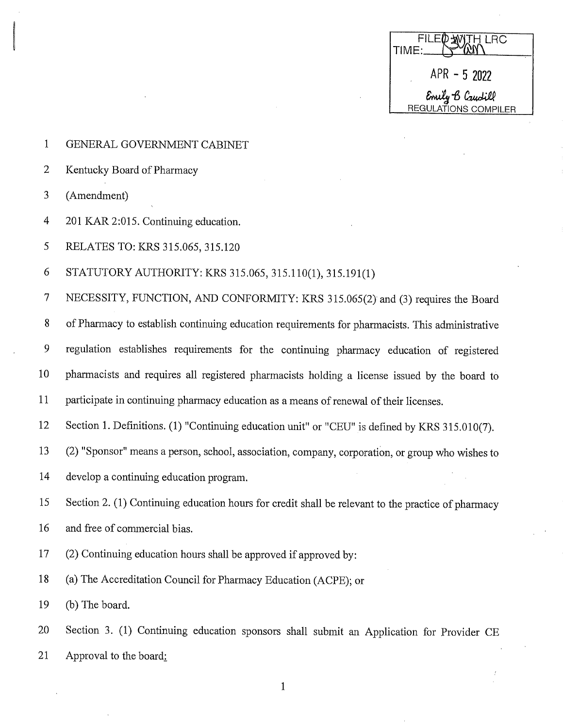| FILE WITH LRC<br>TIME:                  |  |
|-----------------------------------------|--|
| $APR - 52022$                           |  |
| Emily B Caudill<br>REGULATIONS COMPILER |  |

- $\mathbf{1}$ GENERAL GOVERNMENT CABINET
- $\overline{2}$ Kentucky Board of Pharmacy
- 3 (Amendment)
- $\overline{4}$ 201 KAR 2:015. Continuing education.
- 5 RELATES TO: KRS 315.065, 315.120

6 STATUTORY AUTHORITY: KRS 315.065, 315.110(1), 315.191(1)

 $\overline{7}$ NECESSITY, FUNCTION, AND CONFORMITY: KRS 315.065(2) and (3) requires the Board

8 of Pharmacy to establish continuing education requirements for pharmacists. This administrative

9 regulation establishes requirements for the continuing pharmacy education of registered

10 pharmacists and requires all registered pharmacists holding a license issued by the board to

11 participate in continuing pharmacy education as a means of renewal of their licenses.

12 Section 1. Definitions. (1) "Continuing education unit" or "CEU" is defined by KRS 315.010(7).

- 13 (2) "Sponsor" means a person, school, association, company, corporation, or group who wishes to
- 14 develop a continuing education program.
- Section 2. (1) Continuing education hours for credit shall be relevant to the practice of pharmacy 15
- 16 and free of commercial bias.
- 17 (2) Continuing education hours shall be approved if approved by:
- 18 (a) The Accreditation Council for Pharmacy Education (ACPE); or
- 19 (b) The board.
- Section 3. (1) Continuing education sponsors shall submit an Application for Provider CE 20 21 Approval to the board: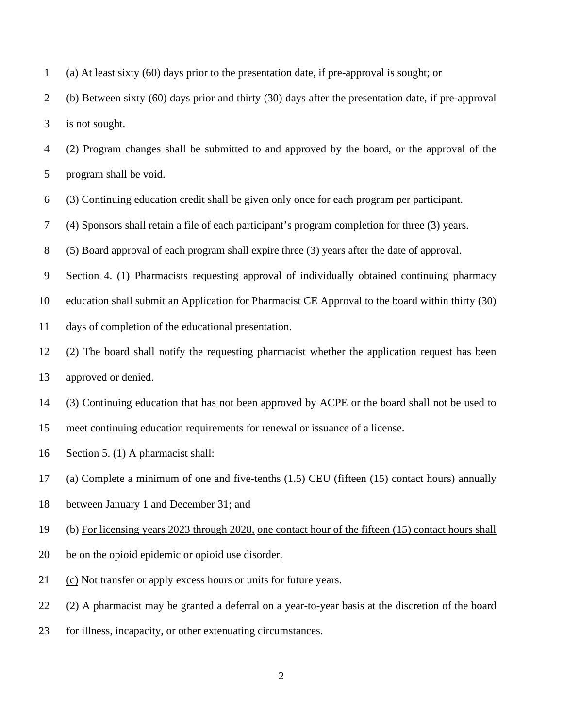1 (a) At least sixty (60) days prior to the presentation date, if pre-approval is sought; or

2 (b) Between sixty (60) days prior and thirty (30) days after the presentation date, if pre-approval 3 is not sought.

4 (2) Program changes shall be submitted to and approved by the board, or the approval of the 5 program shall be void.

6 (3) Continuing education credit shall be given only once for each program per participant.

7 (4) Sponsors shall retain a file of each participant's program completion for three (3) years.

8 (5) Board approval of each program shall expire three (3) years after the date of approval.

9 Section 4. (1) Pharmacists requesting approval of individually obtained continuing pharmacy

10 education shall submit an Application for Pharmacist CE Approval to the board within thirty (30)

11 days of completion of the educational presentation.

12 (2) The board shall notify the requesting pharmacist whether the application request has been 13 approved or denied.

14 (3) Continuing education that has not been approved by ACPE or the board shall not be used to

15 meet continuing education requirements for renewal or issuance of a license.

16 Section 5. (1) A pharmacist shall:

17 (a) Complete a minimum of one and five-tenths (1.5) CEU (fifteen (15) contact hours) annually

18 between January 1 and December 31; and

19 (b) For licensing years 2023 through 2028, one contact hour of the fifteen (15) contact hours shall

- 20 be on the opioid epidemic or opioid use disorder.
- 21 (c) Not transfer or apply excess hours or units for future years.

22 (2) A pharmacist may be granted a deferral on a year-to-year basis at the discretion of the board

23 for illness, incapacity, or other extenuating circumstances.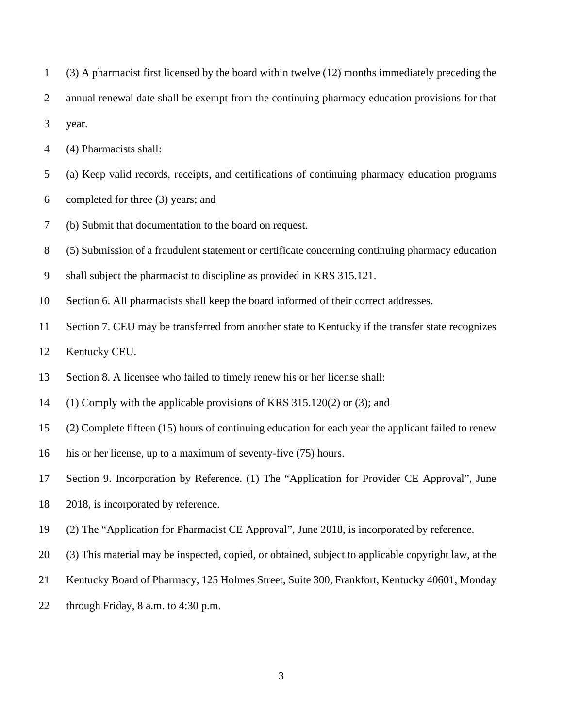- 1 (3) A pharmacist first licensed by the board within twelve (12) months immediately preceding the
- 2 annual renewal date shall be exempt from the continuing pharmacy education provisions for that

3 year.

- 4 (4) Pharmacists shall:
- 5 (a) Keep valid records, receipts, and certifications of continuing pharmacy education programs
- 6 completed for three (3) years; and
- 7 (b) Submit that documentation to the board on request.

8 (5) Submission of a fraudulent statement or certificate concerning continuing pharmacy education

- 9 shall subject the pharmacist to discipline as provided in KRS 315.121.
- 10 Section 6. All pharmacists shall keep the board informed of their correct addresses.
- 11 Section 7. CEU may be transferred from another state to Kentucky if the transfer state recognizes
- 12 Kentucky CEU.
- 13 Section 8. A licensee who failed to timely renew his or her license shall:
- 14 (1) Comply with the applicable provisions of KRS 315.120(2) or (3); and
- 15 (2) Complete fifteen (15) hours of continuing education for each year the applicant failed to renew
- 16 his or her license, up to a maximum of seventy-five (75) hours.
- 17 Section 9. Incorporation by Reference. (1) The "Application for Provider CE Approval", June
- 18 2018, is incorporated by reference.
- 19 (2) The "Application for Pharmacist CE Approval", June 2018, is incorporated by reference.
- 20 (3) This material may be inspected, copied, or obtained, subject to applicable copyright law, at the
- 21 Kentucky Board of Pharmacy, 125 Holmes Street, Suite 300, Frankfort, Kentucky 40601, Monday
- 22 through Friday, 8 a.m. to 4:30 p.m.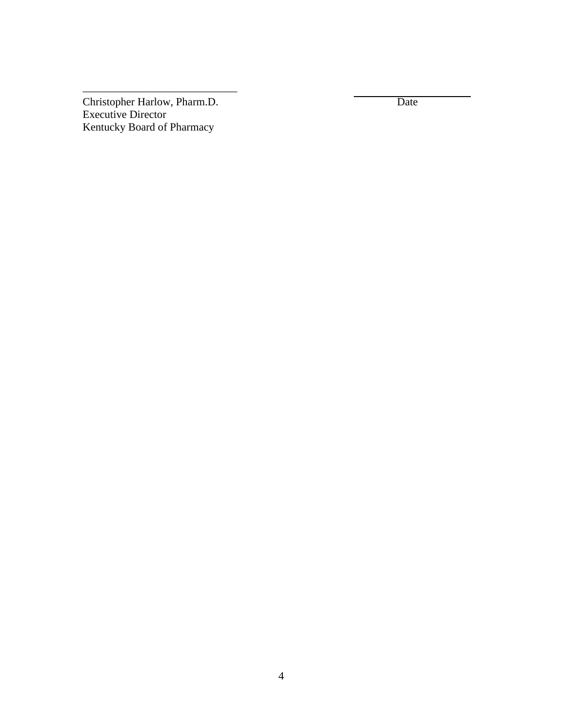Christopher Harlow, Pharm.D. Date Executive Director Kentucky Board of Pharmacy

\_\_\_\_\_\_\_\_\_\_\_\_\_\_\_\_\_\_\_\_\_\_\_\_\_\_\_\_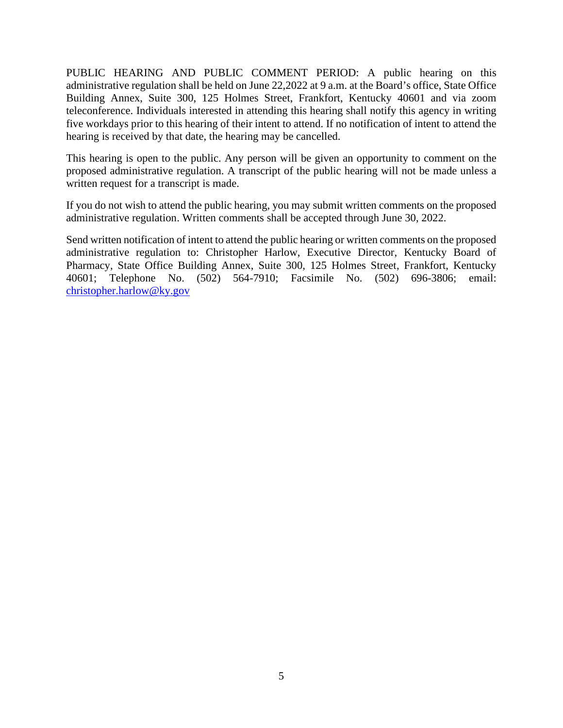PUBLIC HEARING AND PUBLIC COMMENT PERIOD: A public hearing on this administrative regulation shall be held on June 22,2022 at 9 a.m. at the Board's office, State Office Building Annex, Suite 300, 125 Holmes Street, Frankfort, Kentucky 40601 and via zoom teleconference. Individuals interested in attending this hearing shall notify this agency in writing five workdays prior to this hearing of their intent to attend. If no notification of intent to attend the hearing is received by that date, the hearing may be cancelled.

This hearing is open to the public. Any person will be given an opportunity to comment on the proposed administrative regulation. A transcript of the public hearing will not be made unless a written request for a transcript is made.

If you do not wish to attend the public hearing, you may submit written comments on the proposed administrative regulation. Written comments shall be accepted through June 30, 2022.

Send written notification of intent to attend the public hearing or written comments on the proposed administrative regulation to: Christopher Harlow, Executive Director, Kentucky Board of Pharmacy, State Office Building Annex, Suite 300, 125 Holmes Street, Frankfort, Kentucky 40601; Telephone No. (502) 564-7910; Facsimile No. (502) 696-3806; email: [christopher.harlow@ky.gov](mailto:christopher.harlow@ky.gov)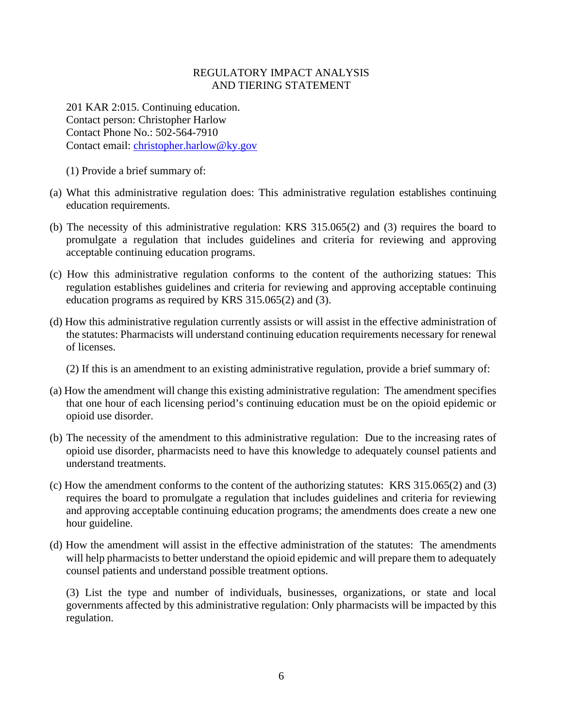### REGULATORY IMPACT ANALYSIS AND TIERING STATEMENT

201 KAR 2:015. Continuing education. Contact person: Christopher Harlow Contact Phone No.: 502-564-7910 Contact email: [christopher.harlow@ky.gov](mailto:christopher.harlow@ky.gov)

- (1) Provide a brief summary of:
- (a) What this administrative regulation does: This administrative regulation establishes continuing education requirements.
- (b) The necessity of this administrative regulation: KRS 315.065(2) and (3) requires the board to promulgate a regulation that includes guidelines and criteria for reviewing and approving acceptable continuing education programs.
- (c) How this administrative regulation conforms to the content of the authorizing statues: This regulation establishes guidelines and criteria for reviewing and approving acceptable continuing education programs as required by KRS 315.065(2) and (3).
- (d) How this administrative regulation currently assists or will assist in the effective administration of the statutes: Pharmacists will understand continuing education requirements necessary for renewal of licenses.
	- (2) If this is an amendment to an existing administrative regulation, provide a brief summary of:
- (a) How the amendment will change this existing administrative regulation: The amendment specifies that one hour of each licensing period's continuing education must be on the opioid epidemic or opioid use disorder.
- (b) The necessity of the amendment to this administrative regulation: Due to the increasing rates of opioid use disorder, pharmacists need to have this knowledge to adequately counsel patients and understand treatments.
- (c) How the amendment conforms to the content of the authorizing statutes: KRS 315.065(2) and (3) requires the board to promulgate a regulation that includes guidelines and criteria for reviewing and approving acceptable continuing education programs; the amendments does create a new one hour guideline.
- (d) How the amendment will assist in the effective administration of the statutes: The amendments will help pharmacists to better understand the opioid epidemic and will prepare them to adequately counsel patients and understand possible treatment options.

(3) List the type and number of individuals, businesses, organizations, or state and local governments affected by this administrative regulation: Only pharmacists will be impacted by this regulation.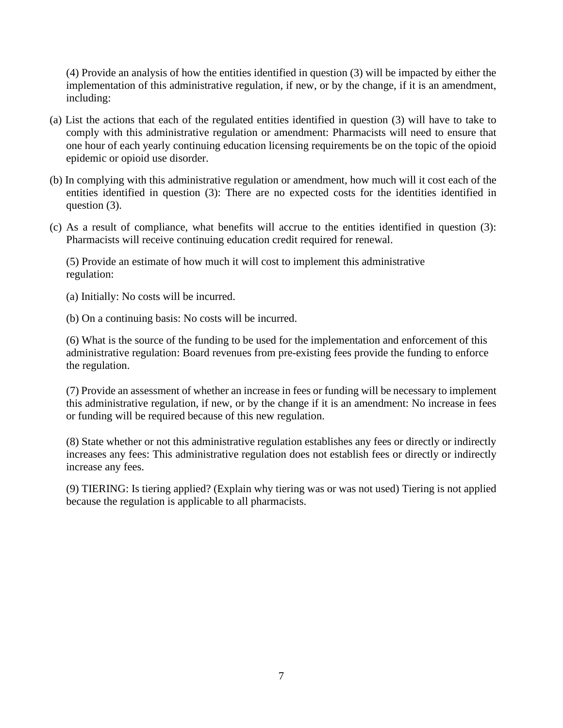(4) Provide an analysis of how the entities identified in question (3) will be impacted by either the implementation of this administrative regulation, if new, or by the change, if it is an amendment, including:

- (a) List the actions that each of the regulated entities identified in question (3) will have to take to comply with this administrative regulation or amendment: Pharmacists will need to ensure that one hour of each yearly continuing education licensing requirements be on the topic of the opioid epidemic or opioid use disorder.
- (b) In complying with this administrative regulation or amendment, how much will it cost each of the entities identified in question (3): There are no expected costs for the identities identified in question (3).
- (c) As a result of compliance, what benefits will accrue to the entities identified in question (3): Pharmacists will receive continuing education credit required for renewal.

(5) Provide an estimate of how much it will cost to implement this administrative regulation:

(a) Initially: No costs will be incurred.

(b) On a continuing basis: No costs will be incurred.

(6) What is the source of the funding to be used for the implementation and enforcement of this administrative regulation: Board revenues from pre-existing fees provide the funding to enforce the regulation.

(7) Provide an assessment of whether an increase in fees or funding will be necessary to implement this administrative regulation, if new, or by the change if it is an amendment: No increase in fees or funding will be required because of this new regulation.

(8) State whether or not this administrative regulation establishes any fees or directly or indirectly increases any fees: This administrative regulation does not establish fees or directly or indirectly increase any fees.

(9) TIERING: Is tiering applied? (Explain why tiering was or was not used) Tiering is not applied because the regulation is applicable to all pharmacists.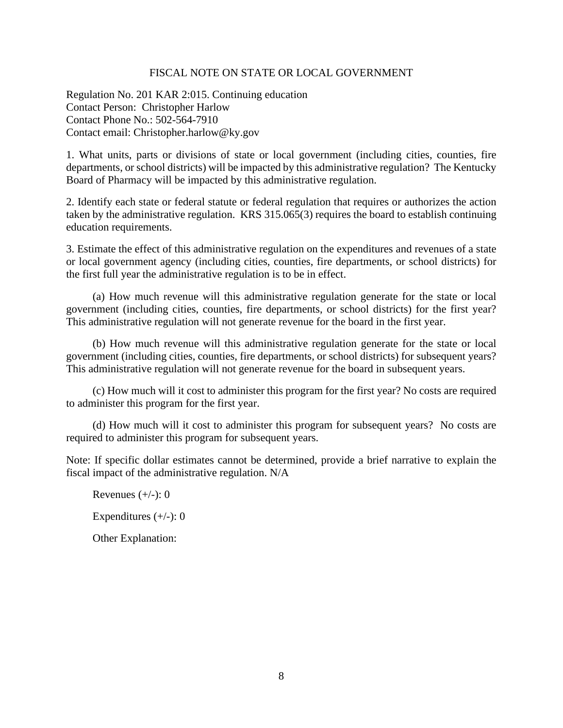### FISCAL NOTE ON STATE OR LOCAL GOVERNMENT

Regulation No. 201 KAR 2:015. Continuing education Contact Person: Christopher Harlow Contact Phone No.: 502-564-7910 Contact email: Christopher.harlow@ky.gov

1. What units, parts or divisions of state or local government (including cities, counties, fire departments, or school districts) will be impacted by this administrative regulation? The Kentucky Board of Pharmacy will be impacted by this administrative regulation.

2. Identify each state or federal statute or federal regulation that requires or authorizes the action taken by the administrative regulation. KRS 315.065(3) requires the board to establish continuing education requirements.

3. Estimate the effect of this administrative regulation on the expenditures and revenues of a state or local government agency (including cities, counties, fire departments, or school districts) for the first full year the administrative regulation is to be in effect.

(a) How much revenue will this administrative regulation generate for the state or local government (including cities, counties, fire departments, or school districts) for the first year? This administrative regulation will not generate revenue for the board in the first year.

(b) How much revenue will this administrative regulation generate for the state or local government (including cities, counties, fire departments, or school districts) for subsequent years? This administrative regulation will not generate revenue for the board in subsequent years.

(c) How much will it cost to administer this program for the first year? No costs are required to administer this program for the first year.

(d) How much will it cost to administer this program for subsequent years? No costs are required to administer this program for subsequent years.

Note: If specific dollar estimates cannot be determined, provide a brief narrative to explain the fiscal impact of the administrative regulation. N/A

Revenues  $(+/-)$ : 0

Expenditures  $(+/-): 0$ 

Other Explanation: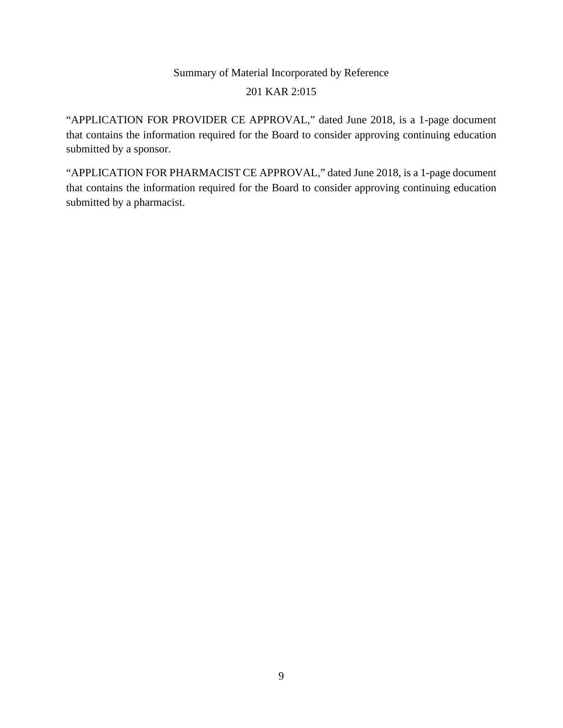# Summary of Material Incorporated by Reference 201 KAR 2:015

"APPLICATION FOR PROVIDER CE APPROVAL," dated June 2018, is a 1-page document that contains the information required for the Board to consider approving continuing education submitted by a sponsor.

"APPLICATION FOR PHARMACIST CE APPROVAL," dated June 2018, is a 1-page document that contains the information required for the Board to consider approving continuing education submitted by a pharmacist.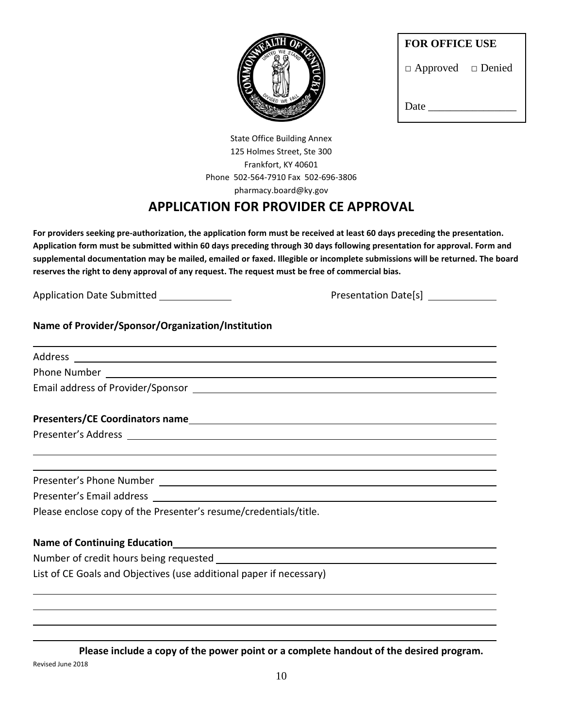

□ Approved □ Denied

State Office Building Annex 125 Holmes Street, Ste 300 Frankfort, KY 40601 Phone 502-564-7910 Fax 502-696-3806 pharmacy.board@ky.gov

## **APPLICATION FOR PROVIDER CE APPROVAL**

**For providers seeking pre-authorization, the application form must be received at least 60 days preceding the presentation. Application form must be submitted within 60 days preceding through 30 days following presentation for approval. Form and supplemental documentation may be mailed, emailed or faxed. Illegible or incomplete submissions will be returned. The board reserves the right to deny approval of any request. The request must be free of commercial bias.** 

Application Date Submitted Presentation Date[s]

## **Name of Provider/Sponsor/Organization/Institution**

| Address |
|---------|
|         |

l

l

l

Phone Number

Email address of Provider/Sponsor

### **Presenters/CE Coordinators name**

Presenter's Address

Presenter's Phone Number

Presenter's Email address

Please enclose copy of the Presenter's resume/credentials/title.

### **Name of Continuing Education**

Number of credit hours being requested

List of CE Goals and Objectives (use additional paper if necessary)

**Please include a copy of the power point or a complete handout of the desired program.** Revised June 2018